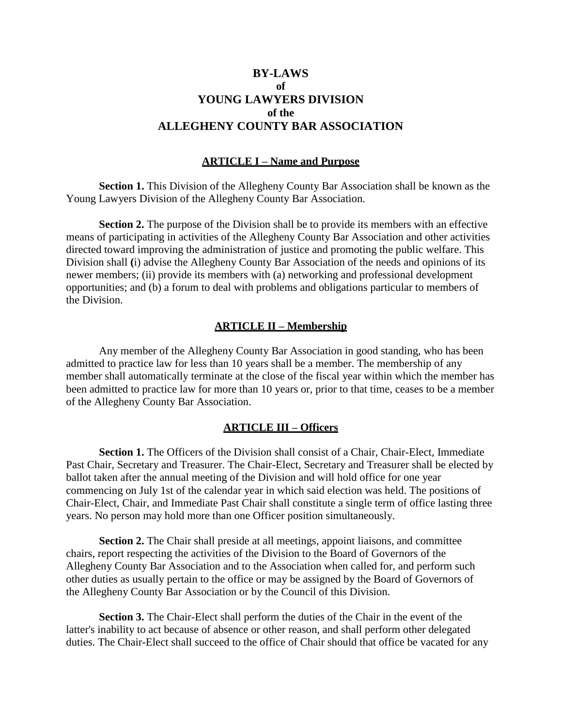## **BY-LAWS of YOUNG LAWYERS DIVISION of the ALLEGHENY COUNTY BAR ASSOCIATION**

## **ARTICLE I – Name and Purpose**

Section 1. This Division of the Allegheny County Bar Association shall be known as the Young Lawyers Division of the Allegheny County Bar Association.

**Section 2.** The purpose of the Division shall be to provide its members with an effective means of participating in activities of the Allegheny County Bar Association and other activities directed toward improving the administration of justice and promoting the public welfare. This Division shall **(**i) advise the Allegheny County Bar Association of the needs and opinions of its newer members; (ii) provide its members with (a) networking and professional development opportunities; and (b) a forum to deal with problems and obligations particular to members of the Division.

### **ARTICLE II – Membership**

Any member of the Allegheny County Bar Association in good standing, who has been admitted to practice law for less than 10 years shall be a member. The membership of any member shall automatically terminate at the close of the fiscal year within which the member has been admitted to practice law for more than 10 years or, prior to that time, ceases to be a member of the Allegheny County Bar Association.

### **ARTICLE III – Officers**

Section 1. The Officers of the Division shall consist of a Chair, Chair-Elect, Immediate Past Chair, Secretary and Treasurer. The Chair-Elect, Secretary and Treasurer shall be elected by ballot taken after the annual meeting of the Division and will hold office for one year commencing on July 1st of the calendar year in which said election was held. The positions of Chair-Elect, Chair, and Immediate Past Chair shall constitute a single term of office lasting three years. No person may hold more than one Officer position simultaneously.

**Section 2.** The Chair shall preside at all meetings, appoint liaisons, and committee chairs, report respecting the activities of the Division to the Board of Governors of the Allegheny County Bar Association and to the Association when called for, and perform such other duties as usually pertain to the office or may be assigned by the Board of Governors of the Allegheny County Bar Association or by the Council of this Division.

**Section 3.** The Chair-Elect shall perform the duties of the Chair in the event of the latter's inability to act because of absence or other reason, and shall perform other delegated duties. The Chair-Elect shall succeed to the office of Chair should that office be vacated for any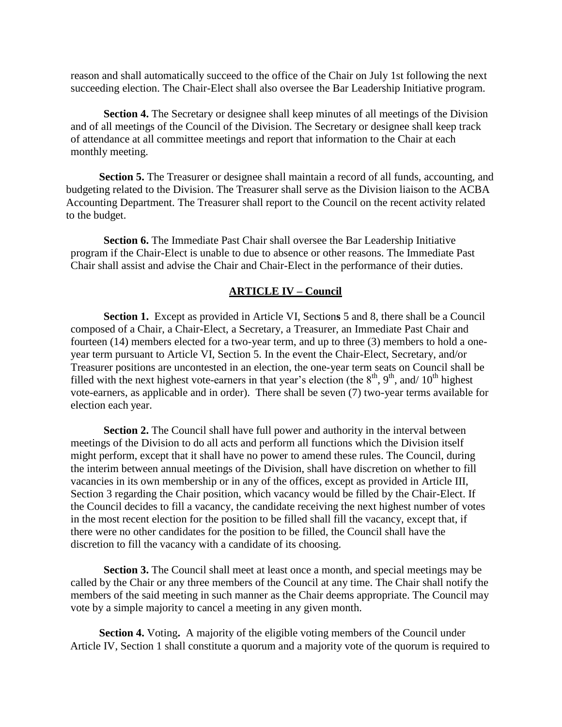reason and shall automatically succeed to the office of the Chair on July 1st following the next succeeding election. The Chair-Elect shall also oversee the Bar Leadership Initiative program.

**Section 4.** The Secretary or designee shall keep minutes of all meetings of the Division and of all meetings of the Council of the Division. The Secretary or designee shall keep track of attendance at all committee meetings and report that information to the Chair at each monthly meeting.

**Section 5.** The Treasurer or designee shall maintain a record of all funds, accounting, and budgeting related to the Division. The Treasurer shall serve as the Division liaison to the ACBA Accounting Department. The Treasurer shall report to the Council on the recent activity related to the budget.

**Section 6.** The Immediate Past Chair shall oversee the Bar Leadership Initiative program if the Chair-Elect is unable to due to absence or other reasons. The Immediate Past Chair shall assist and advise the Chair and Chair-Elect in the performance of their duties.

#### **ARTICLE IV – Council**

**Section 1.** Except as provided in Article VI, Section**s** 5 and 8, there shall be a Council composed of a Chair, a Chair-Elect, a Secretary, a Treasurer, an Immediate Past Chair and fourteen (14) members elected for a two-year term, and up to three (3) members to hold a oneyear term pursuant to Article VI, Section 5. In the event the Chair-Elect, Secretary, and/or Treasurer positions are uncontested in an election, the one-year term seats on Council shall be filled with the next highest vote-earners in that year's election (the  $8<sup>th</sup>$ ,  $9<sup>th</sup>$ , and/  $10<sup>th</sup>$  highest vote-earners, as applicable and in order). There shall be seven (7) two-year terms available for election each year.

**Section 2.** The Council shall have full power and authority in the interval between meetings of the Division to do all acts and perform all functions which the Division itself might perform, except that it shall have no power to amend these rules. The Council, during the interim between annual meetings of the Division, shall have discretion on whether to fill vacancies in its own membership or in any of the offices, except as provided in Article III, Section 3 regarding the Chair position, which vacancy would be filled by the Chair-Elect. If the Council decides to fill a vacancy, the candidate receiving the next highest number of votes in the most recent election for the position to be filled shall fill the vacancy, except that, if there were no other candidates for the position to be filled, the Council shall have the discretion to fill the vacancy with a candidate of its choosing.

**Section 3.** The Council shall meet at least once a month, and special meetings may be called by the Chair or any three members of the Council at any time. The Chair shall notify the members of the said meeting in such manner as the Chair deems appropriate. The Council may vote by a simple majority to cancel a meeting in any given month.

**Section 4.** Voting**.** A majority of the eligible voting members of the Council under Article IV, Section 1 shall constitute a quorum and a majority vote of the quorum is required to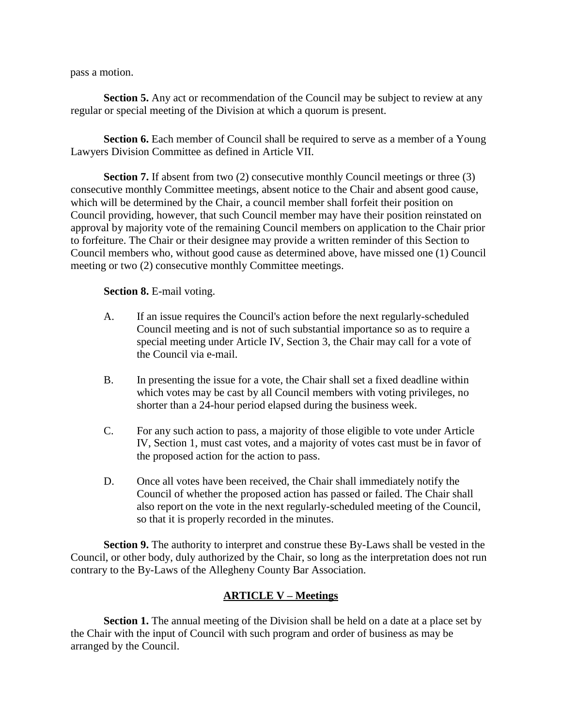pass a motion.

**Section 5.** Any act or recommendation of the Council may be subject to review at any regular or special meeting of the Division at which a quorum is present.

**Section 6.** Each member of Council shall be required to serve as a member of a Young Lawyers Division Committee as defined in Article VII.

**Section 7.** If absent from two (2) consecutive monthly Council meetings or three (3) consecutive monthly Committee meetings, absent notice to the Chair and absent good cause, which will be determined by the Chair, a council member shall forfeit their position on Council providing, however, that such Council member may have their position reinstated on approval by majority vote of the remaining Council members on application to the Chair prior to forfeiture. The Chair or their designee may provide a written reminder of this Section to Council members who, without good cause as determined above, have missed one (1) Council meeting or two (2) consecutive monthly Committee meetings.

**Section 8.** E-mail voting.

- A. If an issue requires the Council's action before the next regularly-scheduled Council meeting and is not of such substantial importance so as to require a special meeting under Article IV, Section 3, the Chair may call for a vote of the Council via e-mail.
- B. In presenting the issue for a vote, the Chair shall set a fixed deadline within which votes may be cast by all Council members with voting privileges, no shorter than a 24-hour period elapsed during the business week.
- C. For any such action to pass, a majority of those eligible to vote under Article IV, Section 1, must cast votes, and a majority of votes cast must be in favor of the proposed action for the action to pass.
- D. Once all votes have been received, the Chair shall immediately notify the Council of whether the proposed action has passed or failed. The Chair shall also report on the vote in the next regularly-scheduled meeting of the Council, so that it is properly recorded in the minutes.

**Section 9.** The authority to interpret and construe these By-Laws shall be vested in the Council, or other body, duly authorized by the Chair, so long as the interpretation does not run contrary to the By-Laws of the Allegheny County Bar Association.

## **ARTICLE V – Meetings**

**Section 1.** The annual meeting of the Division shall be held on a date at a place set by the Chair with the input of Council with such program and order of business as may be arranged by the Council.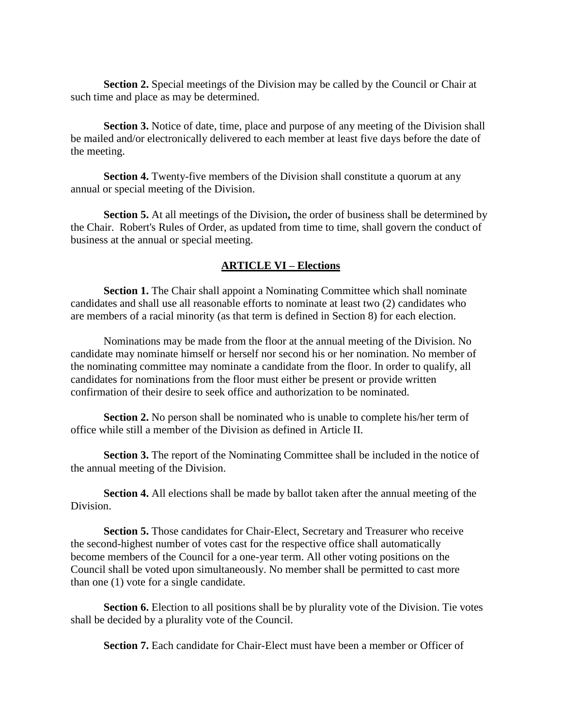**Section 2.** Special meetings of the Division may be called by the Council or Chair at such time and place as may be determined.

**Section 3.** Notice of date, time, place and purpose of any meeting of the Division shall be mailed and/or electronically delivered to each member at least five days before the date of the meeting.

**Section 4.** Twenty-five members of the Division shall constitute a quorum at any annual or special meeting of the Division.

**Section 5.** At all meetings of the Division**,** the order of business shall be determined by the Chair. Robert's Rules of Order, as updated from time to time, shall govern the conduct of business at the annual or special meeting.

## **ARTICLE VI – Elections**

**Section 1.** The Chair shall appoint a Nominating Committee which shall nominate candidates and shall use all reasonable efforts to nominate at least two (2) candidates who are members of a racial minority (as that term is defined in Section 8) for each election.

Nominations may be made from the floor at the annual meeting of the Division. No candidate may nominate himself or herself nor second his or her nomination. No member of the nominating committee may nominate a candidate from the floor. In order to qualify, all candidates for nominations from the floor must either be present or provide written confirmation of their desire to seek office and authorization to be nominated.

**Section 2.** No person shall be nominated who is unable to complete his/her term of office while still a member of the Division as defined in Article II.

**Section 3.** The report of the Nominating Committee shall be included in the notice of the annual meeting of the Division.

**Section 4.** All elections shall be made by ballot taken after the annual meeting of the Division.

**Section 5.** Those candidates for Chair-Elect, Secretary and Treasurer who receive the second-highest number of votes cast for the respective office shall automatically become members of the Council for a one-year term. All other voting positions on the Council shall be voted upon simultaneously. No member shall be permitted to cast more than one (1) vote for a single candidate.

**Section 6.** Election to all positions shall be by plurality vote of the Division. Tie votes shall be decided by a plurality vote of the Council.

**Section 7.** Each candidate for Chair-Elect must have been a member or Officer of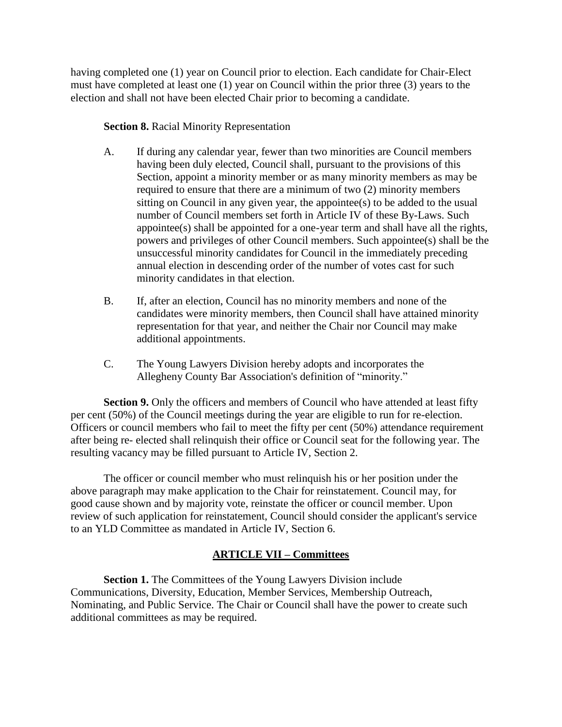having completed one (1) year on Council prior to election. Each candidate for Chair-Elect must have completed at least one (1) year on Council within the prior three (3) years to the election and shall not have been elected Chair prior to becoming a candidate.

## **Section 8.** Racial Minority Representation

- A. If during any calendar year, fewer than two minorities are Council members having been duly elected, Council shall, pursuant to the provisions of this Section, appoint a minority member or as many minority members as may be required to ensure that there are a minimum of two (2) minority members sitting on Council in any given year, the appointee(s) to be added to the usual number of Council members set forth in Article IV of these By-Laws. Such appointee(s) shall be appointed for a one-year term and shall have all the rights, powers and privileges of other Council members. Such appointee(s) shall be the unsuccessful minority candidates for Council in the immediately preceding annual election in descending order of the number of votes cast for such minority candidates in that election.
- B. If, after an election, Council has no minority members and none of the candidates were minority members, then Council shall have attained minority representation for that year, and neither the Chair nor Council may make additional appointments.
- C. The Young Lawyers Division hereby adopts and incorporates the Allegheny County Bar Association's definition of "minority."

**Section 9.** Only the officers and members of Council who have attended at least fifty per cent (50%) of the Council meetings during the year are eligible to run for re-election. Officers or council members who fail to meet the fifty per cent (50%) attendance requirement after being re- elected shall relinquish their office or Council seat for the following year. The resulting vacancy may be filled pursuant to Article IV, Section 2.

The officer or council member who must relinquish his or her position under the above paragraph may make application to the Chair for reinstatement. Council may, for good cause shown and by majority vote, reinstate the officer or council member. Upon review of such application for reinstatement, Council should consider the applicant's service to an YLD Committee as mandated in Article IV, Section 6.

# **ARTICLE VII – Committees**

**Section 1.** The Committees of the Young Lawyers Division include Communications, Diversity, Education, Member Services, Membership Outreach, Nominating, and Public Service. The Chair or Council shall have the power to create such additional committees as may be required.